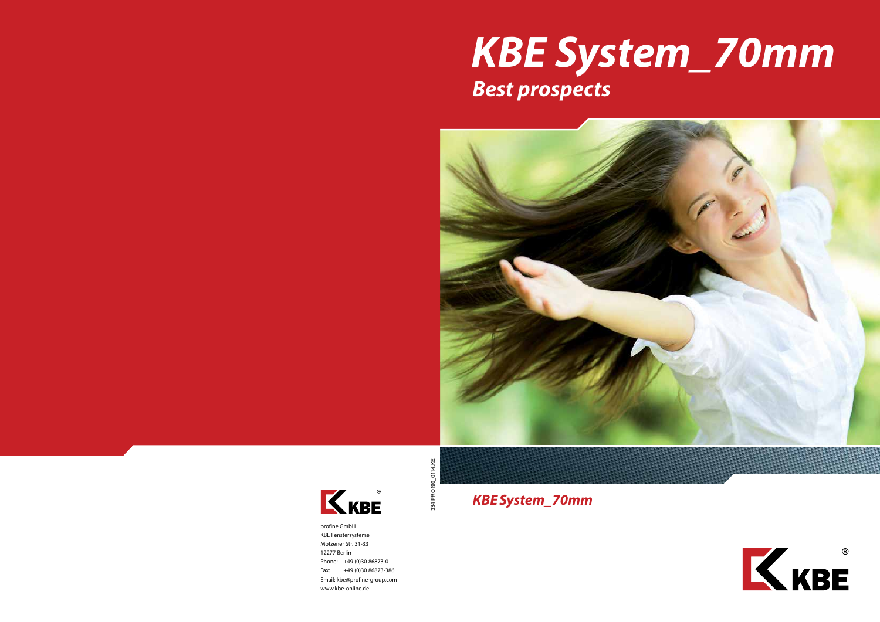profine GmbH KBE Fenstersysteme Motzener Str. 31-33 12277 Berlin Phone: +49 (0)30 86873-0 Fax: +49 (0)30 86873-386 Email: kbe@profine-group.com www.kbe-online.de





# *KBE System\_70mm Best prospects*

*KBESystem\_70mm*



KKBE